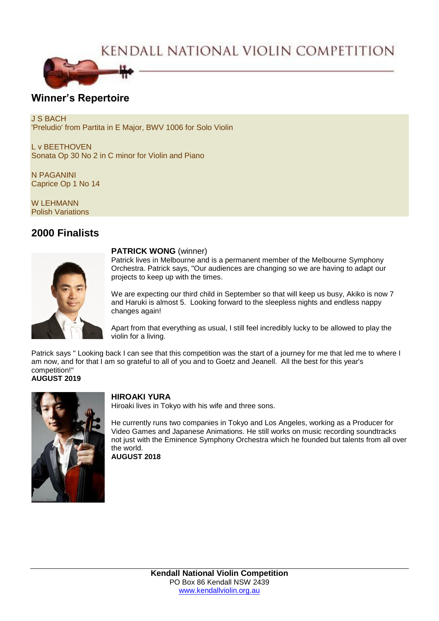# KENDALL NATIONAL VIOLIN COMPETITION



## **Winner's Repertoire**

J S BACH 'Preludio' from Partita in E Major, BWV 1006 for Solo Violin

L v BEETHOVEN Sonata Op 30 No 2 in C minor for Violin and Piano

N PAGANINI Caprice Op 1 No 14

W LEHMANN Polish Variations

# **2000 Finalists**



#### **PATRICK WONG** (winner)

Patrick lives in Melbourne and is a permanent member of the Melbourne Symphony Orchestra. Patrick says, "Our audiences are changing so we are having to adapt our projects to keep up with the times.

We are expecting our third child in September so that will keep us busy, Akiko is now 7 and Haruki is almost 5. Looking forward to the sleepless nights and endless nappy changes again!

Apart from that everything as usual, I still feel incredibly lucky to be allowed to play the violin for a living.

Patrick says " Looking back I can see that this competition was the start of a journey for me that led me to where I am now, and for that I am so grateful to all of you and to Goetz and Jeanell. All the best for this year's competition!" **AUGUST 2019**



### **HIROAKI YURA**

Hiroaki lives in Tokyo with his wife and three sons.

He currently runs two companies in Tokyo and Los Angeles, working as a Producer for Video Games and Japanese Animations. He still works on music recording soundtracks not just with the Eminence Symphony Orchestra which he founded but talents from all over the world. **AUGUST 2018**